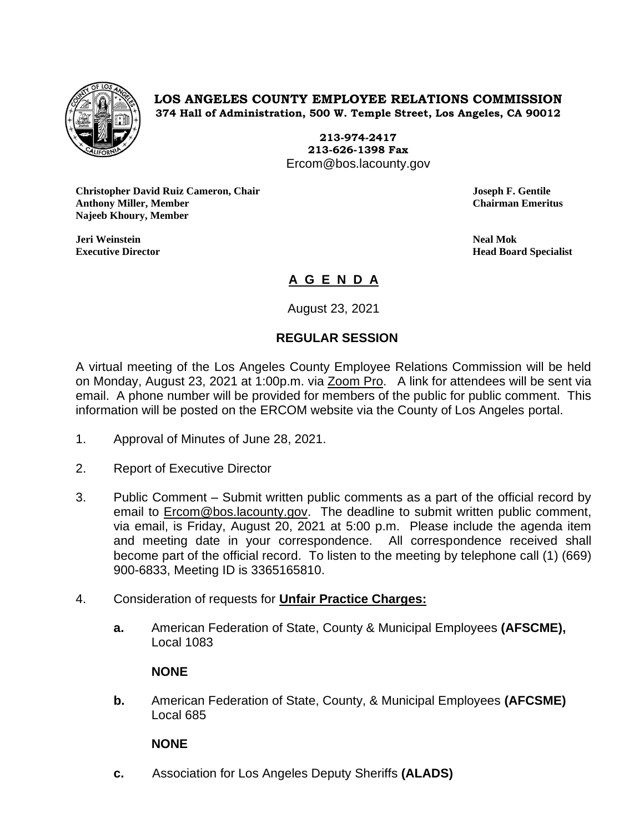

**LOS ANGELES COUNTY EMPLOYEE RELATIONS COMMISSION 374 Hall of Administration, 500 W. Temple Street, Los Angeles, CA 90012**

> **213-974-2417 213-626-1398 Fax** Ercom@bos.lacounty.gov

**Christopher David Ruiz Cameron, Chair Joseph F. Gentile Anthony Miller, Member Chairman Emeritus Najeeb Khoury, Member**

**Jeri Weinstein Neal Mok**

**Executive Director Head Board Specialist**

# **A G E N D A**

August 23, 2021

# **REGULAR SESSION**

A virtual meeting of the Los Angeles County Employee Relations Commission will be held on Monday, August 23, 2021 at 1:00p.m. via Zoom Pro. A link for attendees will be sent via email. A phone number will be provided for members of the public for public comment. This information will be posted on the ERCOM website via the County of Los Angeles portal.

- 1. Approval of Minutes of June 28, 2021.
- 2. Report of Executive Director
- 3. Public Comment Submit written public comments as a part of the official record by email to [Ercom@bos.lacounty.gov.](mailto:Ercom@bos.lacounty.gov) The deadline to submit written public comment, via email, is Friday, August 20, 2021 at 5:00 p.m. Please include the agenda item and meeting date in your correspondence. All correspondence received shall become part of the official record. To listen to the meeting by telephone call (1) (669) 900-6833, Meeting ID is 3365165810.
- 4. Consideration of requests for **Unfair Practice Charges:**
	- **a.** American Federation of State, County & Municipal Employees **(AFSCME),** Local 1083

## **NONE**

**b.** American Federation of State, County, & Municipal Employees **(AFCSME)** Local 685

## **NONE**

**c.** Association for Los Angeles Deputy Sheriffs **(ALADS)**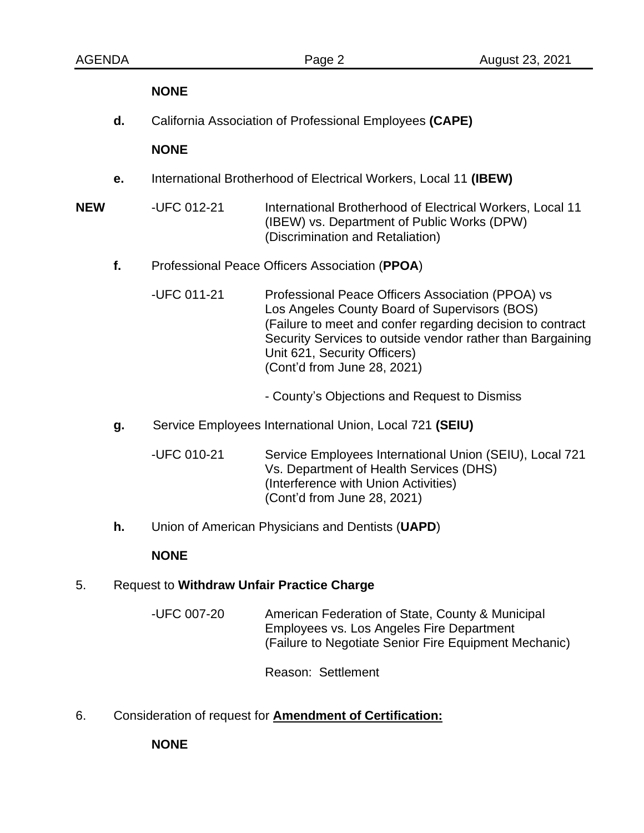#### **NONE**

**d.** California Association of Professional Employees **(CAPE)**

#### **NONE**

- **e.** International Brotherhood of Electrical Workers, Local 11 **(IBEW)**
- **NEW** -UFC 012-21 International Brotherhood of Electrical Workers, Local 11 (IBEW) vs. Department of Public Works (DPW) (Discrimination and Retaliation)
	- **f.** Professional Peace Officers Association (**PPOA**)
		- -UFC 011-21 Professional Peace Officers Association (PPOA) vs Los Angeles County Board of Supervisors (BOS) (Failure to meet and confer regarding decision to contract Security Services to outside vendor rather than Bargaining Unit 621, Security Officers) (Cont'd from June 28, 2021)
			- County's Objections and Request to Dismiss
	- **g.** Service Employees International Union, Local 721 **(SEIU)**
		- -UFC 010-21 Service Employees International Union (SEIU), Local 721 Vs. Department of Health Services (DHS) (Interference with Union Activities) (Cont'd from June 28, 2021)
	- **h.** Union of American Physicians and Dentists (**UAPD**)

#### **NONE**

#### 5. Request to **Withdraw Unfair Practice Charge**

-UFC 007-20 American Federation of State, County & Municipal Employees vs. Los Angeles Fire Department (Failure to Negotiate Senior Fire Equipment Mechanic)

Reason: Settlement

6. Consideration of request for **Amendment of Certification:**

**NONE**